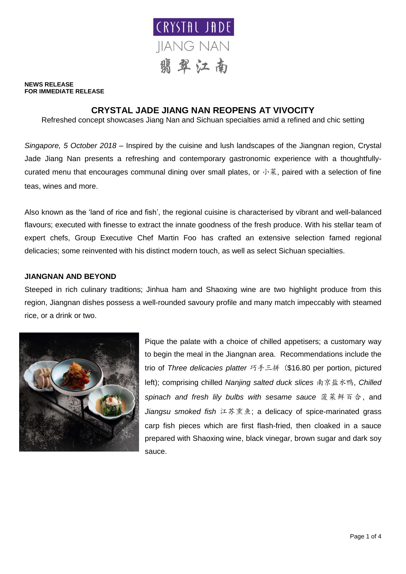

#### **NEWS RELEASE FOR IMMEDIATE RELEASE**

# **CRYSTAL JADE JIANG NAN REOPENS AT VIVOCITY**

Refreshed concept showcases Jiang Nan and Sichuan specialties amid a refined and chic setting

*Singapore, 5 October 2018* – Inspired by the cuisine and lush landscapes of the Jiangnan region, Crystal Jade Jiang Nan presents a refreshing and contemporary gastronomic experience with a thoughtfullycurated menu that encourages communal dining over small plates, or  $\psi$ <sup>\*</sup>, paired with a selection of fine teas, wines and more.

Also known as the 'land of rice and fish', the regional cuisine is characterised by vibrant and well-balanced flavours; executed with finesse to extract the innate goodness of the fresh produce. With his stellar team of expert chefs, Group Executive Chef Martin Foo has crafted an extensive selection famed regional delicacies; some reinvented with his distinct modern touch, as well as select Sichuan specialties.

# **JIANGNAN AND BEYOND**

Steeped in rich culinary traditions; Jinhua ham and Shaoxing wine are two highlight produce from this region, Jiangnan dishes possess a well-rounded savoury profile and many match impeccably with steamed rice, or a drink or two.



Pique the palate with a choice of chilled appetisers; a customary way to begin the meal in the Jiangnan area. Recommendations include the trio of *Three delicacies platter* 巧手三拼 (\$16.80 per portion, pictured left); comprising chilled *Nanjing salted duck slices* 南京盐水鸭, *Chilled spinach and fresh lily bulbs with sesame sauce* 菠菜鲜百合, and *Jiangsu smoked fish* 江苏熏鱼; a delicacy of spice-marinated grass carp fish pieces which are first flash-fried, then cloaked in a sauce prepared with Shaoxing wine, black vinegar, brown sugar and dark soy sauce.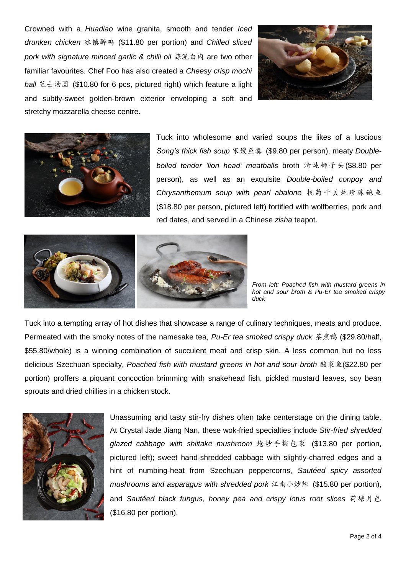Crowned with a *Huadiao* wine granita, smooth and tender *Iced drunken chicken* 冰镇醉鸡 (\$11.80 per portion) and *Chilled sliced pork with signature minced garlic & chilli oil* 蒜泥白肉 are two other familiar favourites. Chef Foo has also created a *Cheesy crisp mochi ball* 芝士汤圆 (\$10.80 for 6 pcs, pictured right) which feature a light and subtly-sweet golden-brown exterior enveloping a soft and stretchy mozzarella cheese centre.





Tuck into wholesome and varied soups the likes of a luscious *Song's thick fish soup* 宋嫂鱼羹 (\$9.80 per person), meaty *Doubleboiled tender 'lion head' meatballs* broth 清炖狮子头(\$8.80 per person), as well as an exquisite *Double-boiled conpoy and Chrysanthemum soup with pearl abalone* 杭菊干贝炖珍珠鲍鱼 (\$18.80 per person, pictured left) fortified with wolfberries, pork and red dates, and served in a Chinese *zisha* teapot.



*From left: Poached fish with mustard greens in hot and sour broth & Pu-Er tea smoked crispy duck*

Tuck into a tempting array of hot dishes that showcase a range of culinary techniques, meats and produce. Permeated with the smoky notes of the namesake tea, *Pu-Er tea smoked crispy duck* 茶熏鸭 (\$29.80/half, \$55.80/whole) is a winning combination of succulent meat and crisp skin. A less common but no less delicious Szechuan specialty, *Poached fish with mustard greens in hot and sour broth* 酸菜鱼(\$22.80 per portion) proffers a piquant concoction brimming with snakehead fish, pickled mustard leaves, soy bean sprouts and dried chillies in a chicken stock.



Unassuming and tasty stir-fry dishes often take centerstage on the dining table. At Crystal Jade Jiang Nan, these wok-fried specialties include *Stir-fried shredded glazed cabbage with shiitake mushroom* 炝炒手撕包菜 (\$13.80 per portion, pictured left); sweet hand-shredded cabbage with slightly-charred edges and a hint of numbing-heat from Szechuan peppercorns, *Sautéed spicy assorted mushrooms and asparagus with shredded pork* 江南小炒辣 (\$15.80 per portion), and *Sautéed black fungus, honey pea and crispy lotus root slices* 荷塘月色 (\$16.80 per portion).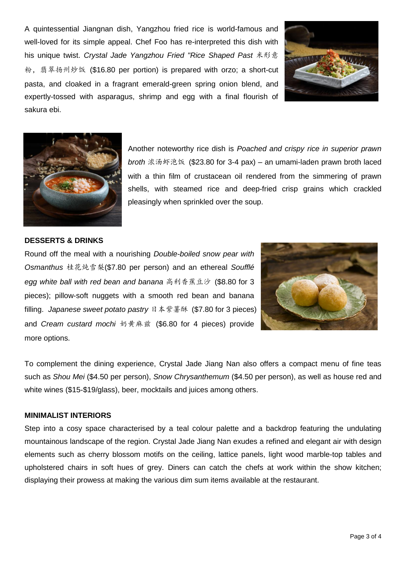A quintessential Jiangnan dish, Yangzhou fried rice is world-famous and well-loved for its simple appeal. Chef Foo has re-interpreted this dish with his unique twist. *Crystal Jade Yangzhou Fried "Rice Shaped Past* 米形意 粉,翡翠扬州炒饭 (\$16.80 per portion) is prepared with orzo; a short-cut pasta, and cloaked in a fragrant emerald-green spring onion blend, and expertly-tossed with asparagus, shrimp and egg with a final flourish of sakura ebi.





Another noteworthy rice dish is *Poached and crispy rice in superior prawn broth* 浓汤虾泡饭 (\$23.80 for 3-4 pax) – an umami-laden prawn broth laced with a thin film of crustacean oil rendered from the simmering of prawn shells, with steamed rice and deep-fried crisp grains which crackled pleasingly when sprinkled over the soup.

# **DESSERTS & DRINKS**

Round off the meal with a nourishing *Double-boiled snow pear with Osmanthus* 桂花炖雪梨(\$7.80 per person) and an ethereal *Soufflé egg white ball with red bean and banana* 高利香蕉豆沙 (\$8.80 for 3 pieces); pillow-soft nuggets with a smooth red bean and banana filling. *Japanese sweet potato pastry* 日本紫薯酥 (\$7.80 for 3 pieces) and *Cream custard mochi* 奶黄麻兹 (\$6.80 for 4 pieces) provide more options.



To complement the dining experience, Crystal Jade Jiang Nan also offers a compact menu of fine teas such as *Shou Mei* (\$4.50 per person), *Snow Chrysanthemum* (\$4.50 per person), as well as house red and white wines (\$15-\$19/glass), beer, mocktails and juices among others.

### **MINIMALIST INTERIORS**

Step into a cosy space characterised by a teal colour palette and a backdrop featuring the undulating mountainous landscape of the region. Crystal Jade Jiang Nan exudes a refined and elegant air with design elements such as cherry blossom motifs on the ceiling, lattice panels, light wood marble-top tables and upholstered chairs in soft hues of grey. Diners can catch the chefs at work within the show kitchen; displaying their prowess at making the various dim sum items available at the restaurant.